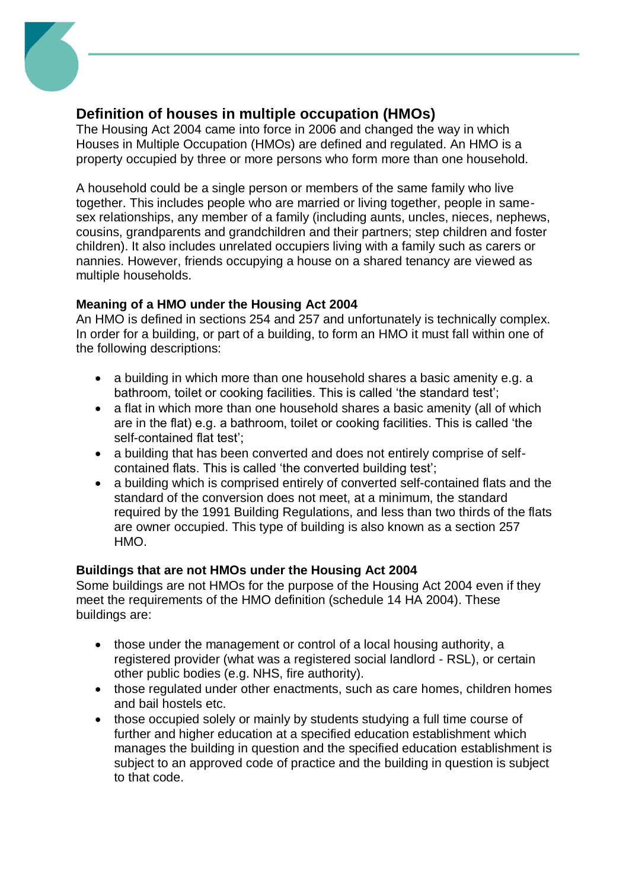

### **Definition of houses in multiple occupation (HMOs)**

The Housing Act 2004 came into force in 2006 and changed the way in which Houses in Multiple Occupation (HMOs) are defined and regulated. An HMO is a property occupied by three or more persons who form more than one household.

A household could be a single person or members of the same family who live together. This includes people who are married or living together, people in samesex relationships, any member of a family (including aunts, uncles, nieces, nephews, cousins, grandparents and grandchildren and their partners; step children and foster children). It also includes unrelated occupiers living with a family such as carers or nannies. However, friends occupying a house on a shared tenancy are viewed as multiple households.

#### **Meaning of a HMO under the Housing Act 2004**

An HMO is defined in sections 254 and 257 and unfortunately is technically complex. In order for a building, or part of a building, to form an HMO it must fall within one of the following descriptions:

- a building in which more than one household shares a basic amenity e.g. a bathroom, toilet or cooking facilities. This is called 'the standard test';
- a flat in which more than one household shares a basic amenity (all of which are in the flat) e.g. a bathroom, toilet or cooking facilities. This is called 'the self-contained flat test';
- a building that has been converted and does not entirely comprise of selfcontained flats. This is called 'the converted building test';
- a building which is comprised entirely of converted self-contained flats and the standard of the conversion does not meet, at a minimum, the standard required by the 1991 Building Regulations, and less than two thirds of the flats are owner occupied. This type of building is also known as a section 257 HMO.

#### **Buildings that are not HMOs under the Housing Act 2004**

Some buildings are not HMOs for the purpose of the Housing Act 2004 even if they meet the requirements of the HMO definition (schedule 14 HA 2004). These buildings are:

- those under the management or control of a local housing authority, a registered provider (what was a registered social landlord - RSL), or certain other public bodies (e.g. NHS, fire authority).
- those regulated under other enactments, such as care homes, children homes and bail hostels etc.
- those occupied solely or mainly by students studying a full time course of further and higher education at a specified education establishment which manages the building in question and the specified education establishment is subject to an approved code of practice and the building in question is subject to that code.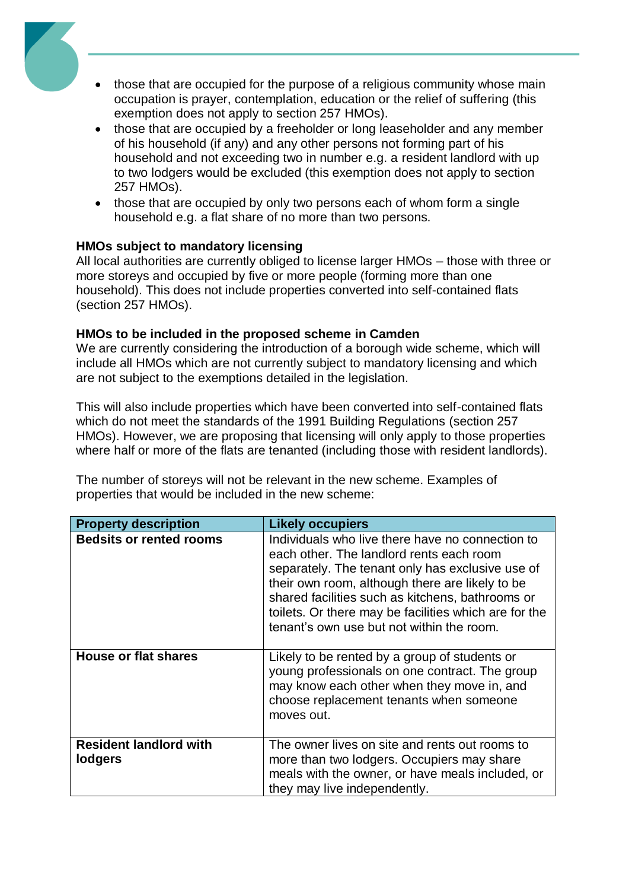

- those that are occupied for the purpose of a religious community whose main occupation is prayer, contemplation, education or the relief of suffering (this exemption does not apply to section 257 HMOs).
- those that are occupied by a freeholder or long leaseholder and any member of his household (if any) and any other persons not forming part of his household and not exceeding two in number e.g. a resident landlord with up to two lodgers would be excluded (this exemption does not apply to section 257 HMOs).
- those that are occupied by only two persons each of whom form a single household e.g. a flat share of no more than two persons.

#### **HMOs subject to mandatory licensing**

All local authorities are currently obliged to license larger HMOs – those with three or more storeys and occupied by five or more people (forming more than one household). This does not include properties converted into self-contained flats (section 257 HMOs).

#### **HMOs to be included in the proposed scheme in Camden**

We are currently considering the introduction of a borough wide scheme, which will include all HMOs which are not currently subject to mandatory licensing and which are not subject to the exemptions detailed in the legislation.

This will also include properties which have been converted into self-contained flats which do not meet the standards of the 1991 Building Regulations (section 257 HMOs). However, we are proposing that licensing will only apply to those properties where half or more of the flats are tenanted (including those with resident landlords).

The number of storeys will not be relevant in the new scheme. Examples of properties that would be included in the new scheme:

| <b>Property description</b>              | <b>Likely occupiers</b>                                                                                                                                                                                                                                                                                                                                       |
|------------------------------------------|---------------------------------------------------------------------------------------------------------------------------------------------------------------------------------------------------------------------------------------------------------------------------------------------------------------------------------------------------------------|
| <b>Bedsits or rented rooms</b>           | Individuals who live there have no connection to<br>each other. The landlord rents each room<br>separately. The tenant only has exclusive use of<br>their own room, although there are likely to be<br>shared facilities such as kitchens, bathrooms or<br>toilets. Or there may be facilities which are for the<br>tenant's own use but not within the room. |
| <b>House or flat shares</b>              | Likely to be rented by a group of students or<br>young professionals on one contract. The group<br>may know each other when they move in, and<br>choose replacement tenants when someone<br>moves out.                                                                                                                                                        |
| <b>Resident landlord with</b><br>lodgers | The owner lives on site and rents out rooms to<br>more than two lodgers. Occupiers may share<br>meals with the owner, or have meals included, or<br>they may live independently.                                                                                                                                                                              |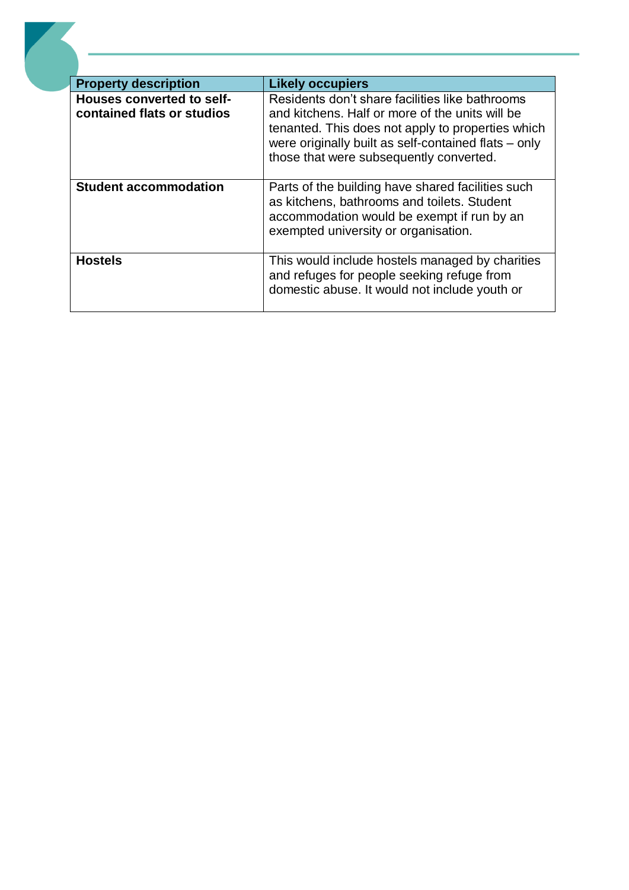| <b>Property description</b>                                    | <b>Likely occupiers</b>                                                                                                                                                                                                                                    |
|----------------------------------------------------------------|------------------------------------------------------------------------------------------------------------------------------------------------------------------------------------------------------------------------------------------------------------|
| <b>Houses converted to self-</b><br>contained flats or studios | Residents don't share facilities like bathrooms<br>and kitchens. Half or more of the units will be<br>tenanted. This does not apply to properties which<br>were originally built as self-contained flats - only<br>those that were subsequently converted. |
| <b>Student accommodation</b>                                   | Parts of the building have shared facilities such<br>as kitchens, bathrooms and toilets. Student<br>accommodation would be exempt if run by an<br>exempted university or organisation.                                                                     |
| <b>Hostels</b>                                                 | This would include hostels managed by charities<br>and refuges for people seeking refuge from<br>domestic abuse. It would not include youth or                                                                                                             |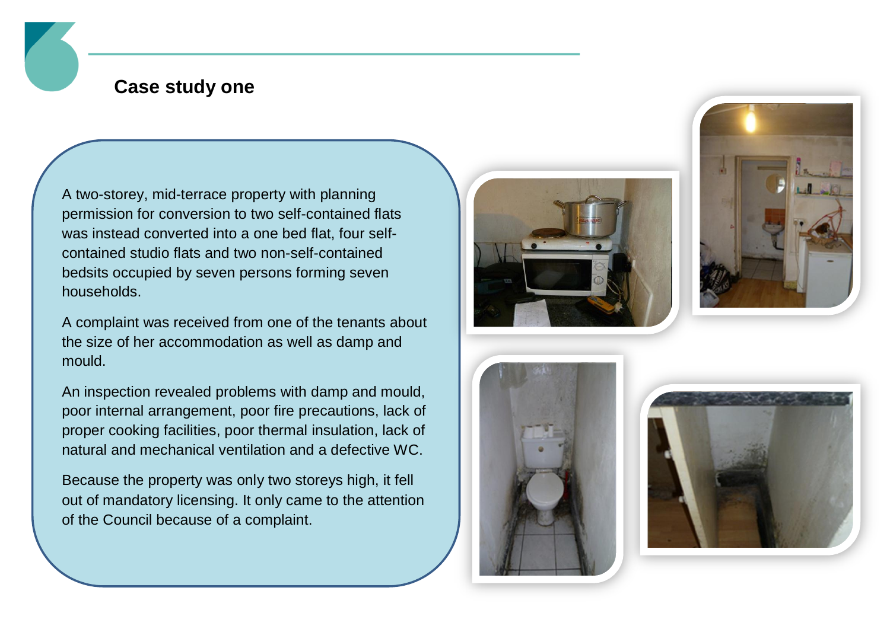## **Case study one**

A two-storey, mid-terrace property with planning permission for conversion to two self-contained flats was instead converted into a one bed flat, four selfcontained studio flats and two non-self-contained bedsits occupied by seven persons forming seven households.

A complaint was received from one of the tenants about the size of her accommodation as well as damp and mould.

An inspection revealed problems with damp and mould, poor internal arrangement, poor fire precautions, lack of proper cooking facilities, poor thermal insulation, lack of natural and mechanical ventilation and a defective WC.

Because the property was only two storeys high, it fell out of mandatory licensing. It only came to the attention of the Council because of a complaint.







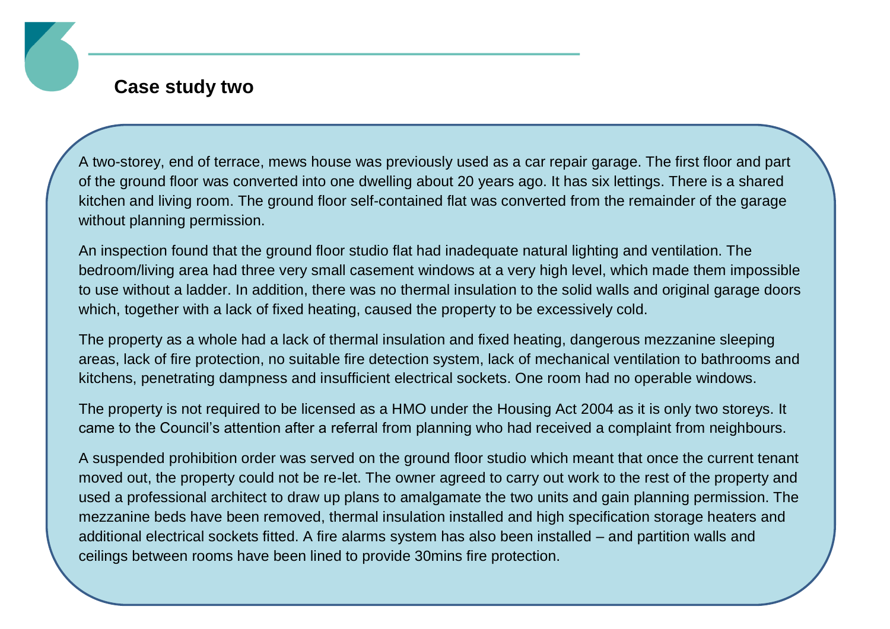### **Case study two**

A two-storey, end of terrace, mews house was previously used as a car repair garage. The first floor and part of the ground floor was converted into one dwelling about 20 years ago. It has six lettings. There is a shared kitchen and living room. The ground floor self-contained flat was converted from the remainder of the garage without planning permission.

An inspection found that the ground floor studio flat had inadequate natural lighting and ventilation. The bedroom/living area had three very small casement windows at a very high level, which made them impossible to use without a ladder. In addition, there was no thermal insulation to the solid walls and original garage doors which, together with a lack of fixed heating, caused the property to be excessively cold.

The property as a whole had a lack of thermal insulation and fixed heating, dangerous mezzanine sleeping areas, lack of fire protection, no suitable fire detection system, lack of mechanical ventilation to bathrooms and kitchens, penetrating dampness and insufficient electrical sockets. One room had no operable windows.

The property is not required to be licensed as a HMO under the Housing Act 2004 as it is only two storeys. It came to the Council's attention after a referral from planning who had received a complaint from neighbours.

A suspended prohibition order was served on the ground floor studio which meant that once the current tenant moved out, the property could not be re-let. The owner agreed to carry out work to the rest of the property and used a professional architect to draw up plans to amalgamate the two units and gain planning permission. The mezzanine beds have been removed, thermal insulation installed and high specification storage heaters and additional electrical sockets fitted. A fire alarms system has also been installed – and partition walls and ceilings between rooms have been lined to provide 30mins fire protection.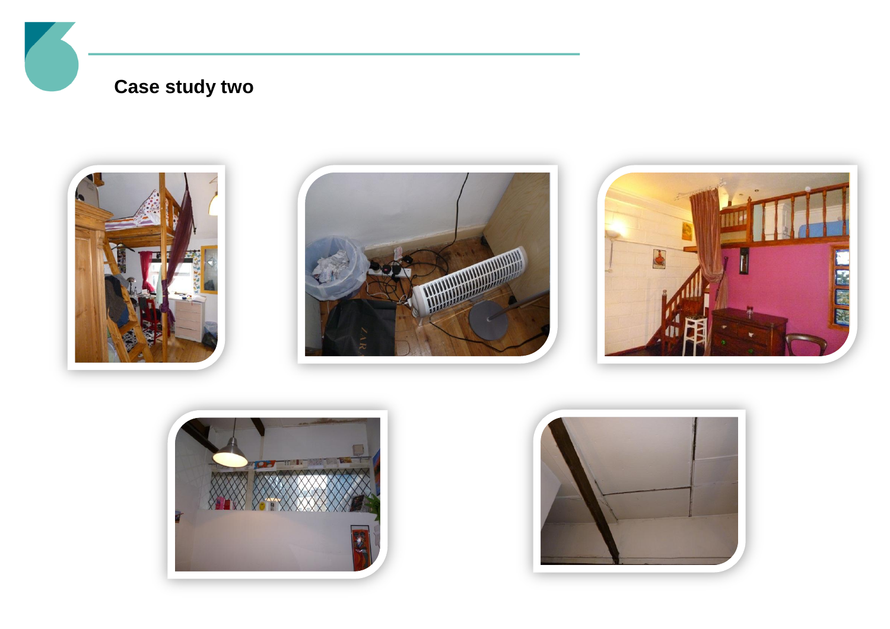# **Case study two**









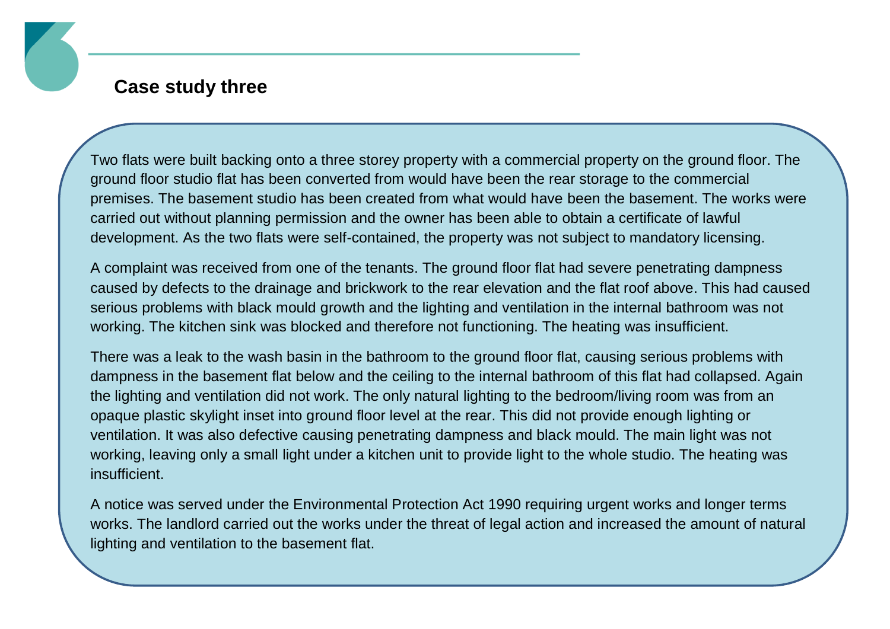### **Case study three**

Two flats were built backing onto a three storey property with a commercial property on the ground floor. The ground floor studio flat has been converted from would have been the rear storage to the commercial premises. The basement studio has been created from what would have been the basement. The works were carried out without planning permission and the owner has been able to obtain a certificate of lawful development. As the two flats were self-contained, the property was not subject to mandatory licensing.

A complaint was received from one of the tenants. The ground floor flat had severe penetrating dampness caused by defects to the drainage and brickwork to the rear elevation and the flat roof above. This had caused serious problems with black mould growth and the lighting and ventilation in the internal bathroom was not working. The kitchen sink was blocked and therefore not functioning. The heating was insufficient.

There was a leak to the wash basin in the bathroom to the ground floor flat, causing serious problems with dampness in the basement flat below and the ceiling to the internal bathroom of this flat had collapsed. Again the lighting and ventilation did not work. The only natural lighting to the bedroom/living room was from an opaque plastic skylight inset into ground floor level at the rear. This did not provide enough lighting or ventilation. It was also defective causing penetrating dampness and black mould. The main light was not working, leaving only a small light under a kitchen unit to provide light to the whole studio. The heating was insufficient.

A notice was served under the Environmental Protection Act 1990 requiring urgent works and longer terms works. The landlord carried out the works under the threat of legal action and increased the amount of natural lighting and ventilation to the basement flat.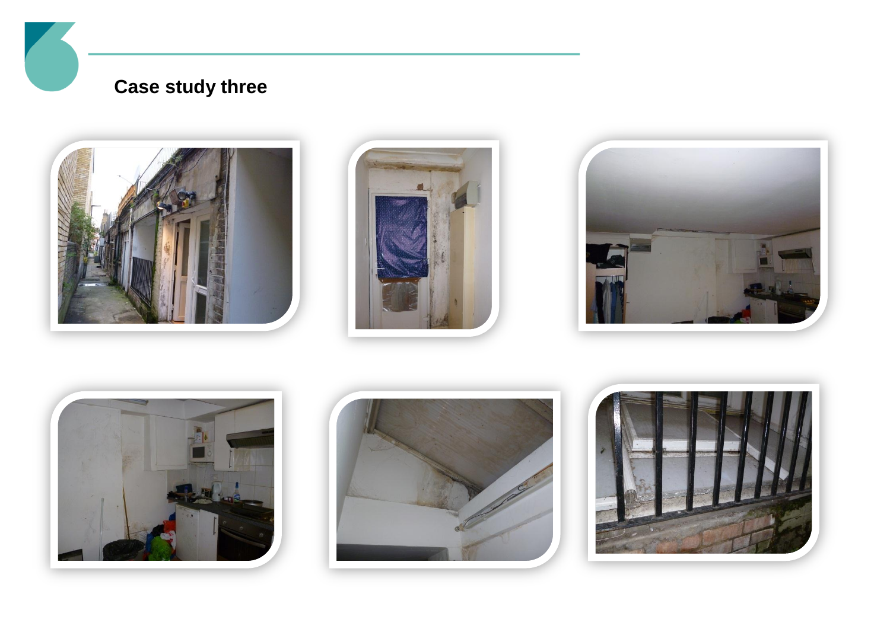# **Case study three**